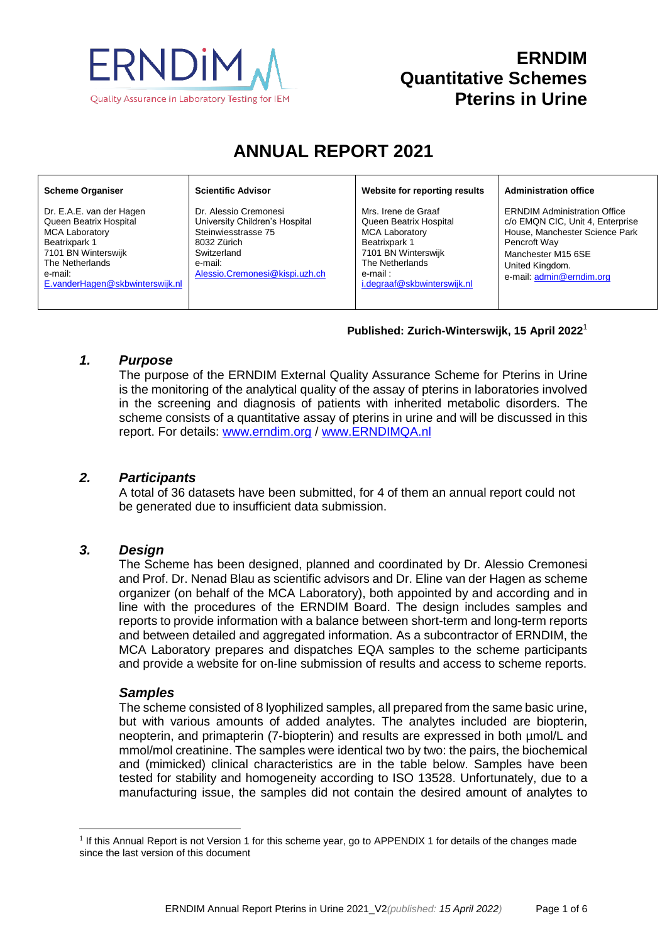

# **ERNDIM Quantitative Schemes Pterins in Urine**

# **ANNUAL REPORT 2021**

#### **Scheme Organiser**

Dr. E.A.E. van der Hagen Queen Beatrix Hospital MCA Laboratory Beatrixpark 1 7101 BN Winterswijk The Netherlands e-mail: [E.vanderHagen@skbwinterswijk.nl](mailto:E.vanderHagen@skbwinterswijk.nl) **Scientific Advisor**

Dr. Alessio Cremonesi University Children's Hospital Steinwiesstrasse 75 8032 Zürich **Switzerland** e-mail: [Alessio.Cremonesi@kispi.uzh.ch](mailto:Alessio.Cremonesi@kispi.uzh.ch) **Website for reporting results**

Mrs. Irene de Graaf Queen Beatrix Hospital MCA Laboratory Beatrixpark 1 7101 BN Winterswijk The Netherlands e-mail : [i.degraaf@skbwinterswijk.nl](mailto:i.degraaf@skbwinterswijk.nl) **Administration office**

ERNDIM Administration Office c/o EMQN CIC, Unit 4, Enterprise House, Manchester Science Park Pencroft Way Manchester M15 6SE United Kingdom. e-mail[: admin@erndim.org](mailto:admin@erndim.org)

#### **Published: Zurich-Winterswijk, 15 April 2022** 1

### *1. Purpose*

The purpose of the ERNDIM External Quality Assurance Scheme for Pterins in Urine is the monitoring of the analytical quality of the assay of pterins in laboratories involved in the screening and diagnosis of patients with inherited metabolic disorders. The scheme consists of a quantitative assay of pterins in urine and will be discussed in this report. For details: [www.erndim.o](http://www.erndim.unibas.ch/)rg / [www.ERNDIMQA.nl](http://www.erndimqa.nl/)

### *2. Participants*

A total of 36 datasets have been submitted, for 4 of them an annual report could not be generated due to insufficient data submission.

# *3. Design*

The Scheme has been designed, planned and coordinated by Dr. Alessio Cremonesi and Prof. Dr. Nenad Blau as scientific advisors and Dr. Eline van der Hagen as scheme organizer (on behalf of the MCA Laboratory), both appointed by and according and in line with the procedures of the ERNDIM Board. The design includes samples and reports to provide information with a balance between short-term and long-term reports and between detailed and aggregated information. As a subcontractor of ERNDIM, the MCA Laboratory prepares and dispatches EQA samples to the scheme participants and provide a website for on-line submission of results and access to scheme reports.

### *Samples*

l

The scheme consisted of 8 lyophilized samples, all prepared from the same basic urine, but with various amounts of added analytes. The analytes included are biopterin, neopterin, and primapterin (7-biopterin) and results are expressed in both µmol/L and mmol/mol creatinine. The samples were identical two by two: the pairs, the biochemical and (mimicked) clinical characteristics are in the table below. Samples have been tested for stability and homogeneity according to ISO 13528. Unfortunately, due to a manufacturing issue, the samples did not contain the desired amount of analytes to

<sup>&</sup>lt;sup>1</sup> If this Annual Report is not Version 1 for this scheme year, go to [APPENDIX 1](#page-5-0) for details of the changes made since the last version of this document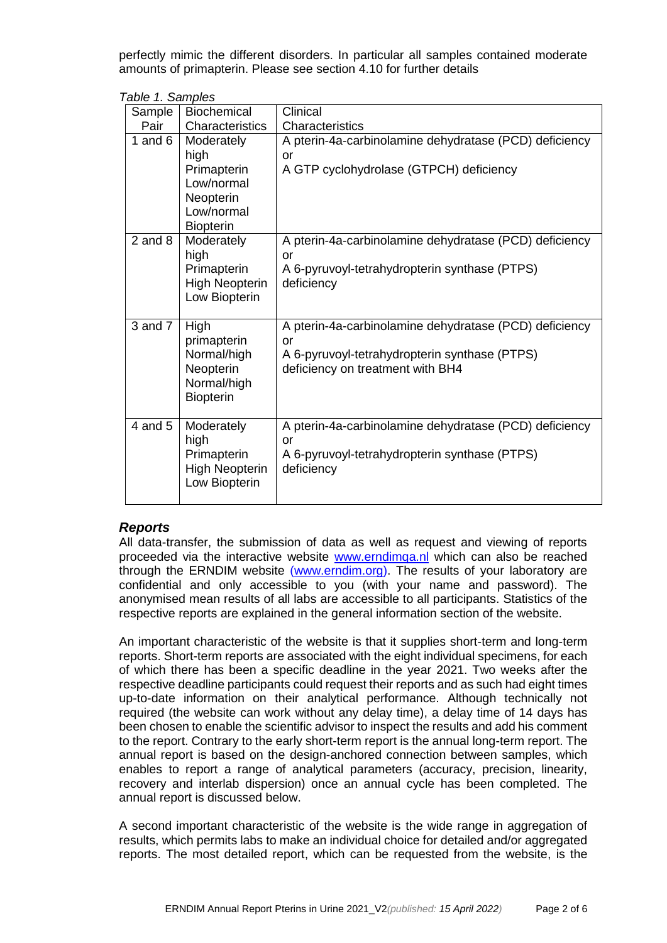perfectly mimic the different disorders. In particular all samples contained moderate amounts of primapterin. Please see section 4.10 for further details

|  | Table 1. Samples |  |  |  |
|--|------------------|--|--|--|
|--|------------------|--|--|--|

| Sample      | <b>Biochemical</b>                                                                             | Clinical                                                                                                                                          |
|-------------|------------------------------------------------------------------------------------------------|---------------------------------------------------------------------------------------------------------------------------------------------------|
| Pair        | Characteristics                                                                                | Characteristics                                                                                                                                   |
| 1 and $6$   | Moderately<br>high<br>Primapterin<br>Low/normal<br>Neopterin<br>Low/normal<br><b>Biopterin</b> | A pterin-4a-carbinolamine dehydratase (PCD) deficiency<br>or<br>A GTP cyclohydrolase (GTPCH) deficiency                                           |
| $2$ and $8$ | Moderately<br>high<br>Primapterin<br><b>High Neopterin</b><br>Low Biopterin                    | A pterin-4a-carbinolamine dehydratase (PCD) deficiency<br>or<br>A 6-pyruvoyl-tetrahydropterin synthase (PTPS)<br>deficiency                       |
| $3$ and $7$ | High<br>primapterin<br>Normal/high<br>Neopterin<br>Normal/high<br><b>Biopterin</b>             | A pterin-4a-carbinolamine dehydratase (PCD) deficiency<br>or<br>A 6-pyruvoyl-tetrahydropterin synthase (PTPS)<br>deficiency on treatment with BH4 |
| 4 and 5     | Moderately<br>high<br>Primapterin<br><b>High Neopterin</b><br>Low Biopterin                    | A pterin-4a-carbinolamine dehydratase (PCD) deficiency<br>or<br>A 6-pyruvoyl-tetrahydropterin synthase (PTPS)<br>deficiency                       |

### *Reports*

All data-transfer, the submission of data as well as request and viewing of reports proceeded via the interactive website [www.erndimqa.nl](http://www.erndimqa.nl/) which can also be reached through the ERNDIM website [\(www.erndim.org\)](http://www.erndim.org/). The results of your laboratory are confidential and only accessible to you (with your name and password). The anonymised mean results of all labs are accessible to all participants. Statistics of the respective reports are explained in the general information section of the website.

An important characteristic of the website is that it supplies short-term and long-term reports. Short-term reports are associated with the eight individual specimens, for each of which there has been a specific deadline in the year 2021. Two weeks after the respective deadline participants could request their reports and as such had eight times up-to-date information on their analytical performance. Although technically not required (the website can work without any delay time), a delay time of 14 days has been chosen to enable the scientific advisor to inspect the results and add his comment to the report. Contrary to the early short-term report is the annual long-term report. The annual report is based on the design-anchored connection between samples, which enables to report a range of analytical parameters (accuracy, precision, linearity, recovery and interlab dispersion) once an annual cycle has been completed. The annual report is discussed below.

A second important characteristic of the website is the wide range in aggregation of results, which permits labs to make an individual choice for detailed and/or aggregated reports. The most detailed report, which can be requested from the website, is the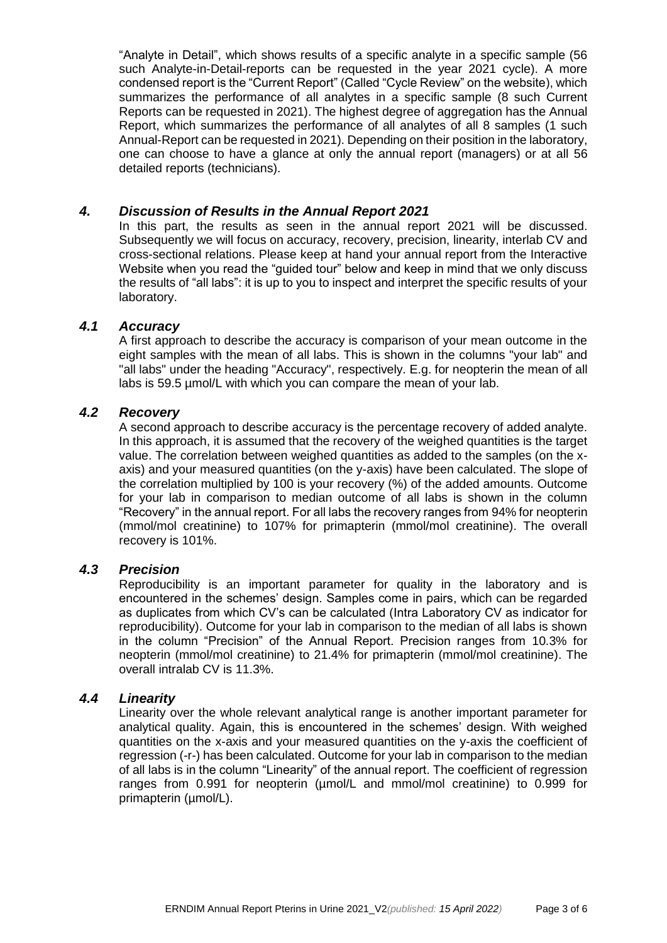"Analyte in Detail", which shows results of a specific analyte in a specific sample (56 such Analyte-in-Detail-reports can be requested in the year 2021 cycle). A more condensed report is the "Current Report" (Called "Cycle Review" on the website), which summarizes the performance of all analytes in a specific sample (8 such Current Reports can be requested in 2021). The highest degree of aggregation has the Annual Report, which summarizes the performance of all analytes of all 8 samples (1 such Annual-Report can be requested in 2021). Depending on their position in the laboratory, one can choose to have a glance at only the annual report (managers) or at all 56 detailed reports (technicians).

# *4. Discussion of Results in the Annual Report 2021*

In this part, the results as seen in the annual report 2021 will be discussed. Subsequently we will focus on accuracy, recovery, precision, linearity, interlab CV and cross-sectional relations. Please keep at hand your annual report from the Interactive Website when you read the "quided tour" below and keep in mind that we only discuss the results of "all labs": it is up to you to inspect and interpret the specific results of your laboratory.

# *4.1 Accuracy*

A first approach to describe the accuracy is comparison of your mean outcome in the eight samples with the mean of all labs. This is shown in the columns "your lab" and "all labs" under the heading "Accuracy", respectively. E.g. for neopterin the mean of all labs is 59.5 µmol/L with which you can compare the mean of your lab.

# *4.2 Recovery*

A second approach to describe accuracy is the percentage recovery of added analyte. In this approach, it is assumed that the recovery of the weighed quantities is the target value. The correlation between weighed quantities as added to the samples (on the xaxis) and your measured quantities (on the y-axis) have been calculated. The slope of the correlation multiplied by 100 is your recovery (%) of the added amounts. Outcome for your lab in comparison to median outcome of all labs is shown in the column "Recovery" in the annual report. For all labs the recovery ranges from 94% for neopterin (mmol/mol creatinine) to 107% for primapterin (mmol/mol creatinine). The overall recovery is 101%.

### *4.3 Precision*

Reproducibility is an important parameter for quality in the laboratory and is encountered in the schemes' design. Samples come in pairs, which can be regarded as duplicates from which CV's can be calculated (Intra Laboratory CV as indicator for reproducibility). Outcome for your lab in comparison to the median of all labs is shown in the column "Precision" of the Annual Report. Precision ranges from 10.3% for neopterin (mmol/mol creatinine) to 21.4% for primapterin (mmol/mol creatinine). The overall intralab CV is 11.3%.

### *4.4 Linearity*

Linearity over the whole relevant analytical range is another important parameter for analytical quality. Again, this is encountered in the schemes' design. With weighed quantities on the x-axis and your measured quantities on the y-axis the coefficient of regression (-r-) has been calculated. Outcome for your lab in comparison to the median of all labs is in the column "Linearity" of the annual report. The coefficient of regression ranges from 0.991 for neopterin (µmol/L and mmol/mol creatinine) to 0.999 for primapterin (µmol/L).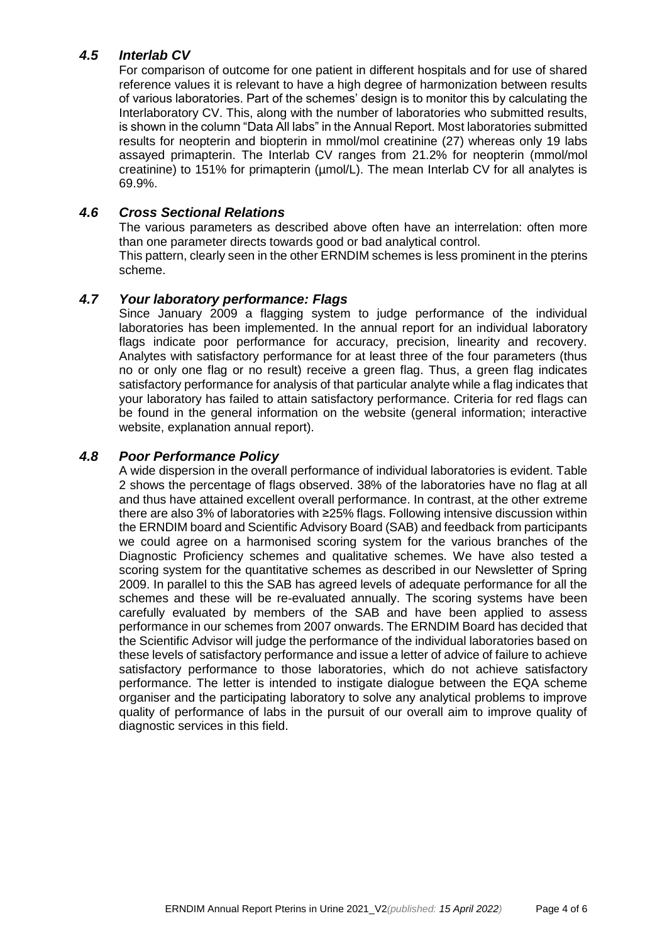# *4.5 Interlab CV*

For comparison of outcome for one patient in different hospitals and for use of shared reference values it is relevant to have a high degree of harmonization between results of various laboratories. Part of the schemes' design is to monitor this by calculating the Interlaboratory CV. This, along with the number of laboratories who submitted results, is shown in the column "Data All labs" in the Annual Report. Most laboratories submitted results for neopterin and biopterin in mmol/mol creatinine (27) whereas only 19 labs assayed primapterin. The Interlab CV ranges from 21.2% for neopterin (mmol/mol creatinine) to 151% for primapterin (µmol/L). The mean Interlab CV for all analytes is 69.9%.

# *4.6 Cross Sectional Relations*

The various parameters as described above often have an interrelation: often more than one parameter directs towards good or bad analytical control. This pattern, clearly seen in the other ERNDIM schemes is less prominent in the pterins scheme.

# *4.7 Your laboratory performance: Flags*

Since January 2009 a flagging system to judge performance of the individual laboratories has been implemented. In the annual report for an individual laboratory flags indicate poor performance for accuracy, precision, linearity and recovery. Analytes with satisfactory performance for at least three of the four parameters (thus no or only one flag or no result) receive a green flag. Thus, a green flag indicates satisfactory performance for analysis of that particular analyte while a flag indicates that your laboratory has failed to attain satisfactory performance. Criteria for red flags can be found in the general information on the website (general information; interactive website, explanation annual report).

# *4.8 Poor Performance Policy*

A wide dispersion in the overall performance of individual laboratories is evident. Table 2 shows the percentage of flags observed. 38% of the laboratories have no flag at all and thus have attained excellent overall performance. In contrast, at the other extreme there are also 3% of laboratories with ≥25% flags. Following intensive discussion within the ERNDIM board and Scientific Advisory Board (SAB) and feedback from participants we could agree on a harmonised scoring system for the various branches of the Diagnostic Proficiency schemes and qualitative schemes. We have also tested a scoring system for the quantitative schemes as described in our Newsletter of Spring 2009. In parallel to this the SAB has agreed levels of adequate performance for all the schemes and these will be re-evaluated annually. The scoring systems have been carefully evaluated by members of the SAB and have been applied to assess performance in our schemes from 2007 onwards. The ERNDIM Board has decided that the Scientific Advisor will judge the performance of the individual laboratories based on these levels of satisfactory performance and issue a letter of advice of failure to achieve satisfactory performance to those laboratories, which do not achieve satisfactory performance. The letter is intended to instigate dialogue between the EQA scheme organiser and the participating laboratory to solve any analytical problems to improve quality of performance of labs in the pursuit of our overall aim to improve quality of diagnostic services in this field.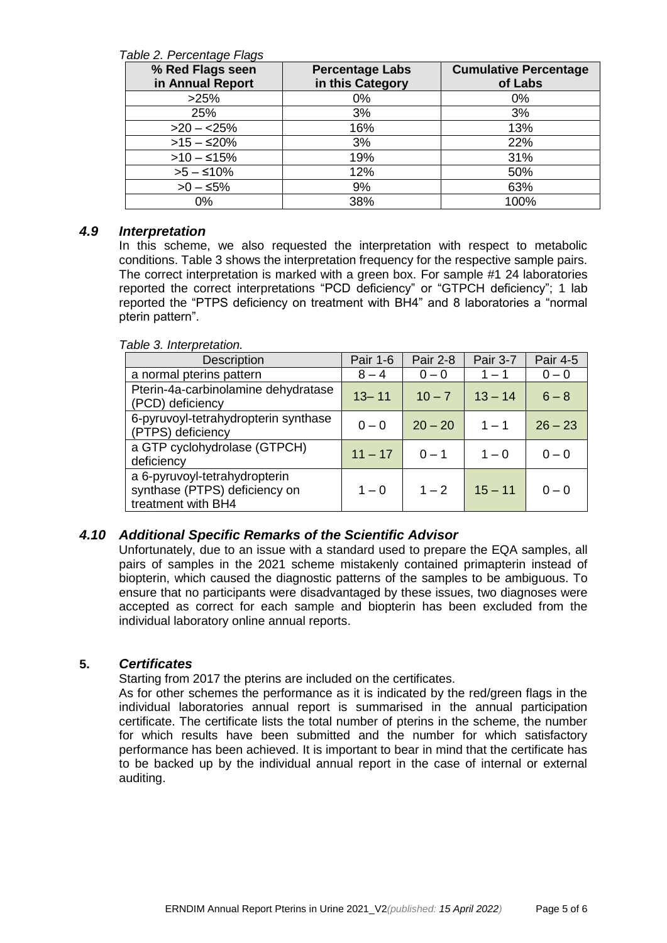#### *Table 2. Percentage Flags*

| % Red Flags seen<br>in Annual Report | <b>Percentage Labs</b><br>in this Category | <b>Cumulative Percentage</b><br>of Labs |
|--------------------------------------|--------------------------------------------|-----------------------------------------|
| >25%                                 | $0\%$                                      | 0%                                      |
| 25%                                  | 3%                                         | 3%                                      |
| $>20 - 25%$                          | 16%                                        | 13%                                     |
| $>15 - 20\%$                         | 3%                                         | 22%                                     |
| $>10 - 15\%$                         | 19%                                        | 31%                                     |
| $>5-510%$                            | 12%                                        | 50%                                     |
| $>0 - 5\%$                           | 9%                                         | 63%                                     |
| 0%                                   | 38%                                        | 100%                                    |

#### *4.9 Interpretation*

In this scheme, we also requested the interpretation with respect to metabolic conditions. Table 3 shows the interpretation frequency for the respective sample pairs. The correct interpretation is marked with a green box. For sample #1 24 laboratories reported the correct interpretations "PCD deficiency" or "GTPCH deficiency"; 1 lab reported the "PTPS deficiency on treatment with BH4" and 8 laboratories a "normal pterin pattern".

#### *Table 3. Interpretation.* Description | Pair 1-6 | Pair 2-8 | Pair 3-7 | Pair 4-5 a normal pterins pattern 8 – 4 0 – 0 1 – 1 0 – 0 Pterin-4a-carbinolamine dehydratase (PCD) deficiency  $(PCD)$  deficiency 6-pyruvoyl-tetrahydropterin synthase (PTPS) deficiency <sup>0</sup> – <sup>0</sup> 20 – <sup>20</sup> <sup>1</sup> – <sup>1</sup> <sup>26</sup> – <sup>23</sup> a GTP cyclohydrolase (GTPCH) deficiency  $0-0$  deficiency  $11-17$  0 – 1  $1-0$  0 – 0 a 6-pyruvoyl-tetrahydropterin synthase (PTPS) deficiency on treatment with BH4  $1 - 0$  |  $1 - 2$  |  $15 - 11$  |  $0 - 0$

### *4.10 Additional Specific Remarks of the Scientific Advisor*

Unfortunately, due to an issue with a standard used to prepare the EQA samples, all pairs of samples in the 2021 scheme mistakenly contained primapterin instead of biopterin, which caused the diagnostic patterns of the samples to be ambiguous. To ensure that no participants were disadvantaged by these issues, two diagnoses were accepted as correct for each sample and biopterin has been excluded from the individual laboratory online annual reports.

### **5.** *Certificates*

Starting from 2017 the pterins are included on the certificates.

As for other schemes the performance as it is indicated by the red/green flags in the individual laboratories annual report is summarised in the annual participation certificate. The certificate lists the total number of pterins in the scheme, the number for which results have been submitted and the number for which satisfactory performance has been achieved. It is important to bear in mind that the certificate has to be backed up by the individual annual report in the case of internal or external auditing.